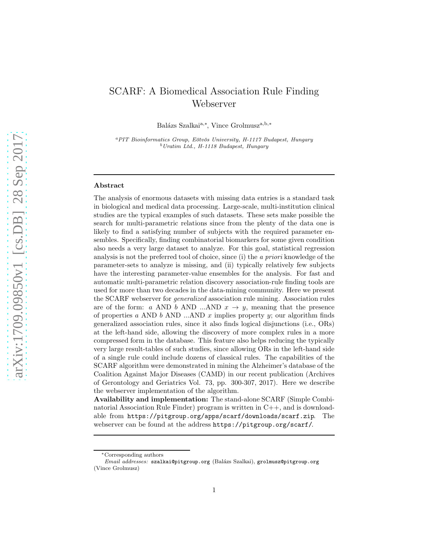# SCARF: A Biomedical Association Rule Finding Webserver

Balázs Szalkai<sup>a,∗</sup>, Vince Grolmusz<sup>a,b,∗</sup>

<sup>a</sup>PIT Bioinformatics Group, Eötvös University, H-1117 Budapest, Hungary <sup>b</sup>*Uratim Ltd., H-1118 Budapest, Hungary*

#### Abstract

The analysis of enormous datasets with missing data entries is a standard task in biological and medical data processing. Large-scale, multi-institution clinical studies are the typical examples of such datasets. These sets make possible the search for multi-parametric relations since from the plenty of the data one is likely to find a satisfying number of subjects with the required parameter ensembles. Specifically, finding combinatorial biomarkers for some given condition also needs a very large dataset to analyze. For this goal, statistical regression analysis is not the preferred tool of choice, since (i) the *a priori* knowledge of the parameter-sets to analyze is missing, and (ii) typically relatively few subjects have the interesting parameter-value ensembles for the analysis. For fast and automatic multi-parametric relation discovery association-rule finding tools are used for more than two decades in the data-mining community. Here we present the SCARF webserver for *generalized* association rule mining. Association rules are of the form: a AND b AND ...AND  $x \to y$ , meaning that the presence of properties a AND  $b$  AND ...AND  $x$  implies property  $y$ ; our algorithm finds generalized association rules, since it also finds logical disjunctions (i.e., ORs) at the left-hand side, allowing the discovery of more complex rules in a more compressed form in the database. This feature also helps reducing the typically very large result-tables of such studies, since allowing ORs in the left-hand side of a single rule could include dozens of classical rules. The capabilities of the SCARF algorithm were demonstrated in mining the Alzheimer's database of the Coalition Against Major Diseases (CAMD) in our recent publication (Archives of Gerontology and Geriatrics Vol. 73, pp. 300-307, 2017). Here we describe the webserver implementation of the algorithm.

Availability and implementation: The stand-alone SCARF (Simple Combinatorial Association Rule Finder) program is written in C++, and is downloadable from <https://pitgroup.org/apps/scarf/downloads/scarf.zip>. The webserver can be found at the address <https://pitgroup.org/scarf/>.

<sup>∗</sup>Corresponding authors

*Email addresses:* szalkai@pitgroup.org (Bal´azs Szalkai), grolmusz@pitgroup.org (Vince Grolmusz)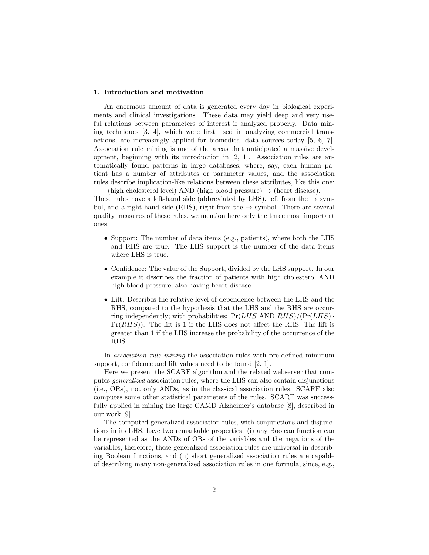## 1. Introduction and motivation

An enormous amount of data is generated every day in biological experiments and clinical investigations. These data may yield deep and very useful relations between parameters of interest if analyzed properly. Data mining techniques [\[3,](#page-4-0) [4\]](#page-4-1), which were first used in analyzing commercial transactions, are increasingly applied for biomedical data sources today [\[5,](#page-4-2) [6,](#page-4-3) [7\]](#page-4-4). Association rule mining is one of the areas that anticipated a massive development, beginning with its introduction in [\[2](#page-4-5), [1\]](#page-4-6). Association rules are automatically found patterns in large databases, where, say, each human patient has a number of attributes or parameter values, and the association rules describe implication-like relations between these attributes, like this one:

(high cholesterol level) AND (high blood pressure)  $\rightarrow$  (heart disease). These rules have a left-hand side (abbreviated by LHS), left from the  $\rightarrow$  symbol, and a right-hand side (RHS), right from the  $\rightarrow$  symbol. There are several quality measures of these rules, we mention here only the three most important ones:

- Support: The number of data items (e.g., patients), where both the LHS and RHS are true. The LHS support is the number of the data items where LHS is true.
- Confidence: The value of the Support, divided by the LHS support. In our example it describes the fraction of patients with high cholesterol AND high blood pressure, also having heart disease.
- Lift: Describes the relative level of dependence between the LHS and the RHS, compared to the hypothesis that the LHS and the RHS are occurring independently; with probabilities:  $Pr(LHS \text{ AND } RHS)/(Pr(LHS) \cdot$  $Pr(RHS)$ ). The lift is 1 if the LHS does not affect the RHS. The lift is greater than 1 if the LHS increase the probability of the occurrence of the RHS.

In *association rule mining* the association rules with pre-defined minimum support, confidence and lift values need to be found [\[2,](#page-4-5) [1\]](#page-4-6).

Here we present the SCARF algorithm and the related webserver that computes *generalized* association rules, where the LHS can also contain disjunctions (i.e., ORs), not only ANDs, as in the classical association rules. SCARF also computes some other statistical parameters of the rules. SCARF was successfully applied in mining the large CAMD Alzheimer's database [\[8](#page-4-7)], described in our work [\[9\]](#page-4-8).

The computed generalized association rules, with conjunctions and disjunctions in its LHS, have two remarkable properties: (i) any Boolean function can be represented as the ANDs of ORs of the variables and the negations of the variables, therefore, these generalized association rules are universal in describing Boolean functions, and (ii) short generalized association rules are capable of describing many non-generalized association rules in one formula, since, e.g.,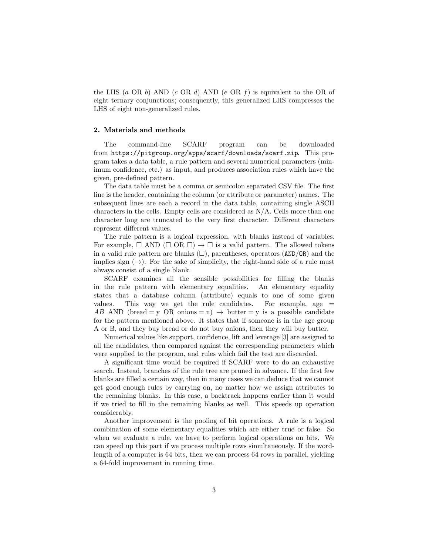the LHS (a OR b) AND (c OR d) AND (e OR f) is equivalent to the OR of eight ternary conjunctions; consequently, this generalized LHS compresses the LHS of eight non-generalized rules.

# 2. Materials and methods

The command-line SCARF program can be downloaded from <https://pitgroup.org/apps/scarf/downloads/scarf.zip>. This program takes a data table, a rule pattern and several numerical parameters (minimum confidence, etc.) as input, and produces association rules which have the given, pre-defined pattern.

The data table must be a comma or semicolon separated CSV file. The first line is the header, containing the column (or attribute or parameter) names. The subsequent lines are each a record in the data table, containing single ASCII characters in the cells. Empty cells are considered as N/A. Cells more than one character long are truncated to the very first character. Different characters represent different values.

The rule pattern is a logical expression, with blanks instead of variables. For example,  $\Box$  AND ( $\Box$  OR  $\Box$ )  $\rightarrow \Box$  is a valid pattern. The allowed tokens in a valid rule pattern are blanks  $(\square)$ , parentheses, operators  $(AND/OR)$  and the implies sign  $(\rightarrow)$ . For the sake of simplicity, the right-hand side of a rule must always consist of a single blank.

SCARF examines all the sensible possibilities for filling the blanks in the rule pattern with elementary equalities. An elementary equality states that a database column (attribute) equals to one of some given values. This way we get the rule candidates. For example, age  $=$ AB AND (bread = y OR onions = n)  $\rightarrow$  butter = y is a possible candidate for the pattern mentioned above. It states that if someone is in the age group A or B, and they buy bread or do not buy onions, then they will buy butter.

Numerical values like support, confidence, lift and leverage [\[3](#page-4-0)] are assigned to all the candidates, then compared against the corresponding parameters which were supplied to the program, and rules which fail the test are discarded.

A significant time would be required if SCARF were to do an exhaustive search. Instead, branches of the rule tree are pruned in advance. If the first few blanks are filled a certain way, then in many cases we can deduce that we cannot get good enough rules by carrying on, no matter how we assign attributes to the remaining blanks. In this case, a backtrack happens earlier than it would if we tried to fill in the remaining blanks as well. This speeds up operation considerably.

Another improvement is the pooling of bit operations. A rule is a logical combination of some elementary equalities which are either true or false. So when we evaluate a rule, we have to perform logical operations on bits. We can speed up this part if we process multiple rows simultaneously. If the wordlength of a computer is 64 bits, then we can process 64 rows in parallel, yielding a 64-fold improvement in running time.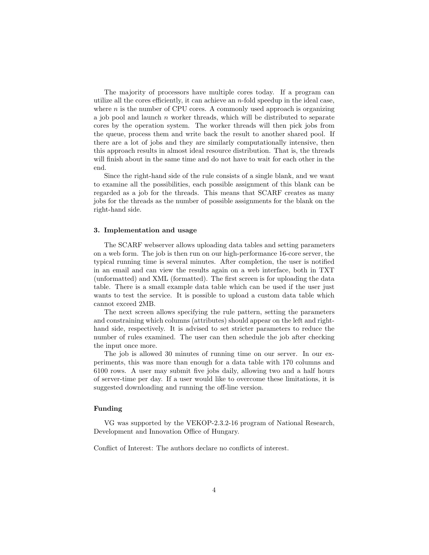The majority of processors have multiple cores today. If a program can utilize all the cores efficiently, it can achieve an  $n$ -fold speedup in the ideal case, where  $n$  is the number of CPU cores. A commonly used approach is organizing a job pool and launch  $n$  worker threads, which will be distributed to separate cores by the operation system. The worker threads will then pick jobs from the queue, process them and write back the result to another shared pool. If there are a lot of jobs and they are similarly computationally intensive, then this approach results in almost ideal resource distribution. That is, the threads will finish about in the same time and do not have to wait for each other in the end.

Since the right-hand side of the rule consists of a single blank, and we want to examine all the possibilities, each possible assignment of this blank can be regarded as a job for the threads. This means that SCARF creates as many jobs for the threads as the number of possible assignments for the blank on the right-hand side.

# 3. Implementation and usage

The SCARF webserver allows uploading data tables and setting parameters on a web form. The job is then run on our high-performance 16-core server, the typical running time is several minutes. After completion, the user is notified in an email and can view the results again on a web interface, both in TXT (unformatted) and XML (formatted). The first screen is for uploading the data table. There is a small example data table which can be used if the user just wants to test the service. It is possible to upload a custom data table which cannot exceed 2MB.

The next screen allows specifying the rule pattern, setting the parameters and constraining which columns (attributes) should appear on the left and righthand side, respectively. It is advised to set stricter parameters to reduce the number of rules examined. The user can then schedule the job after checking the input once more.

The job is allowed 30 minutes of running time on our server. In our experiments, this was more than enough for a data table with 170 columns and 6100 rows. A user may submit five jobs daily, allowing two and a half hours of server-time per day. If a user would like to overcome these limitations, it is suggested downloading and running the off-line version.

# Funding

VG was supported by the VEKOP-2.3.2-16 program of National Research, Development and Innovation Office of Hungary.

Conflict of Interest: The authors declare no conflicts of interest.